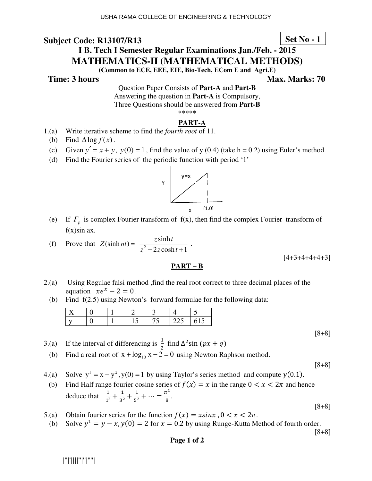## **Set No - 1**

# **I B. Tech I Semester Regular Examinations Jan./Feb. - 2015 MATHEMATICS-II (MATHEMATICAL METHODS)**

**(Common to ECE, EEE, EIE, Bio-Tech, ECom E and Agri.E)** 

**Time: 3 hours** Max. Marks: 70

Question Paper Consists of **Part-A** and **Part-B** Answering the question in **Part-A** is Compulsory, Three Questions should be answered from **Part-B** \*\*\*\*\*

### **PART-A**

- 1.(a) Write iterative scheme to find the *fourth root* of 11.
	- (b) Find  $\Delta$ log  $f(x)$ .
- (c) Given  $y' = x + y$ ,  $y(0) = 1$ , find the value of y (0.4) (take h = 0.2) using Euler's method.
- (d) Find the Fourier series of the periodic function with period '1'



(e) If  $F_p$  is complex Fourier transform of  $f(x)$ , then find the complex Fourier transform of  $f(x)$ sin ax.

(f) Prove that 
$$
Z(\sinh nt) = \frac{z \sinh t}{z^2 - 2z \cosh t + 1}
$$
.

#### **PART – B**

- 2.(a) Using Regulae falsi method ,find the real root correct to three decimal places of the equation  $xe^{x} - 2 = 0$ .
	- (b) Find f(2.5) using Newton's forward formulae for the following data:

- 3.(a) If the interval of differencing is  $\frac{1}{2}$  find  $\Delta^2$ sin  $(px + q)$
- (b) Find a real root of  $x + log_{10} x 2 = 0$  using Newton Raphson method.

[8+8]

[8+8]

 $[4+3+4+4+4+3]$ 

- 4.(a) Solve  $y^1 = x y^2$ ,  $y(0) = 1$  by using Taylor's series method and compute  $y(0.1)$ .
- (b) Find Half range fourier cosine series of  $f(x) = x$  in the range  $0 < x < 2\pi$  and hence deduce that  $\frac{1}{1^2}$  $\frac{1}{1^2} + \frac{1}{3^2}$  $rac{1}{3^2} + \frac{1}{5^2}$  $\frac{1}{5^2} + \cdots = \frac{\pi^2}{8}$  $\frac{1}{8}$ .
- 5.(a) Obtain fourier series for the function  $f(x) = x \sin x$ ,  $0 < x < 2\pi$ .
- (b) Solve  $y^1 = y x$ ,  $y(0) = 2$  for  $x = 0.2$  by using Runge-Kutta Method of fourth order.

[8+8]

[8+8]

#### **Page 1 of 2**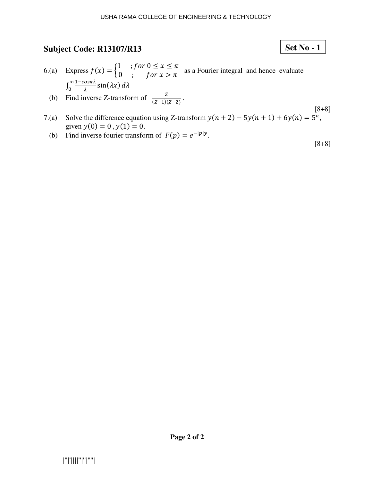# **Set No - 1**

- 6.(a) Express  $f(x) = \begin{cases} 1 & \text{if } or \ 0 \le x \le \pi \\ 0 & \text{if } for \ x > \pi \end{cases}$  as a Fourier integral and hence evaluate  $\int_0^\infty \frac{1-\cos\pi\lambda}{\lambda}$ (b) Find inverse Z-transform of  $\frac{z}{(z-1)(z-2)}$ .  $\int_0^{\frac{\pi}{2}} \frac{\cos \theta}{\lambda} \sin(\lambda x) d\lambda$
- [8+8] 7.(a) Solve the difference equation using Z-transform  $y(n + 2) - 5y(n + 1) + 6y(n) = 5<sup>n</sup>$ , given  $y(0) = 0$ ,  $y(1) = 0$ .
- (b) Find inverse fourier transform of  $F(p) = e^{-|p|y}$ .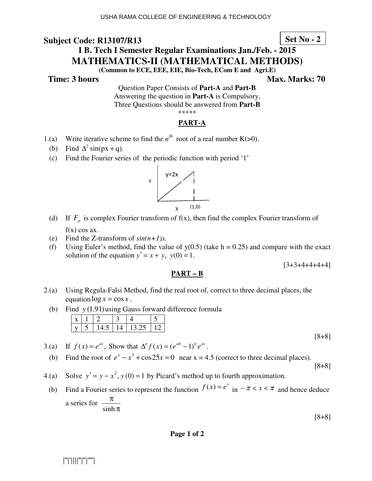## **Set No - 2**

# **I B. Tech I Semester Regular Examinations Jan./Feb. - 2015 MATHEMATICS-II (MATHEMATICAL METHODS)**

**(Common to ECE, EEE, EIE, Bio-Tech, ECom E and Agri.E)** 

**Time: 3 hours** Max. Marks: 70

Question Paper Consists of **Part-A** and **Part-B** Answering the question in **Part-A** is Compulsory, Three Questions should be answered from **Part-B** \*\*\*\*\*

## **PART-A**

- 1.(a) Write iterative scheme to find the  $n^{th}$  root of a real number K( $>0$ ).
- (b) Find  $\Delta^2 \sin(px + q)$ .
	- (c) Find the Fourier series of the periodic function with period '1'



- (d) If  $F_p$  is complex Fourier transform of  $f(x)$ , then find the complex Fourier transform of  $f(x)$  cos ax.
	- (e) Find the Z-transform of *sin(n+1)x.*
	- (f) Using Euler's method, find the value of  $y(0.5)$  (take h = 0.25) and compare with the exact solution of the equation  $y' = x + y$ ,  $y(0) = 1$ .

 $[3+3+4+4+4+4]$ 

## **PART – B**

- 2.(a) Using Regula-Falsi Method, find the real root of, correct to three decimal places, the equation  $\log x = \cos x$ .
	- (b) Find  $y(1.91)$  using Gauss forward difference formula

- 3.(a) If  $f(x) = e^{ax}$ , Show that  $\Delta^n f(x) = (e^{ah} 1)^n e^{ax}$ .
- (b) Find the root of  $e^x x^3 + \cos 25x = 0$  near  $x = 4.5$  (correct to three decimal places).

[8+8]

[8+8]

- 4.(a) Solve  $y' = y x^2$ ,  $y(0) = 1$  by Picard's method up to fourth approximation.
	- (b) Find a Fourier series to represent the function  $f(x) = e^x$  in  $-\pi < x < \pi$  and hence deduce a series for π π sinh

[8+8]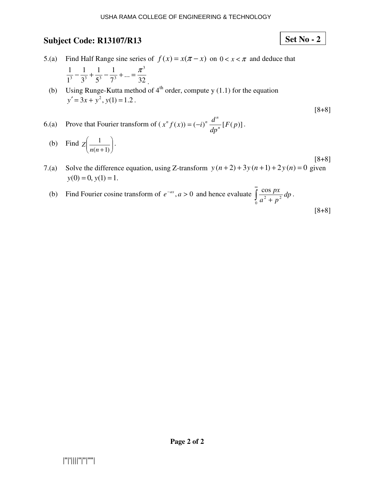- 5.(a) Find Half Range sine series of  $f(x) = x(\pi x)$  on  $0 < x < \pi$  and deduce that 32 ... 7 1 5 1 3 1 1 1 1 1 1  $\pi^3$ 3  $3^3$   $5^3$   $7^3$  $-\frac{1}{2^3} + \frac{1}{3^3} - \frac{1}{3^3} + \dots = \frac{\pi}{2}$ .
	- (b) Using Runge-Kutta method of  $4<sup>th</sup>$  order, compute y (1.1) for the equation  $y' = 3x + y^2$ ,  $y(1) = 1.2$ .
- 6.(a) Prove that Fourier transform of  $(x^n f(x)) = (-i)^n \frac{d}{dx^n} [F(p)]$ *dp*  $f(x) = (-i)^n \frac{d^n}{dx^n}$  ${}^{n} f(x) = (-i)^{n} \frac{d^{n}}{dx^{n}} [F(p)].$
- (b) Find  $Z\left|\frac{1}{r(n+1)}\right|$ - $\backslash$  $\overline{\phantom{a}}$ l ſ  $(n+1)$ 1 *nn*  $Z \Big| \frac{1}{\sqrt{2}} \Big| \cdot$
- 7.(a) Solve the difference equation, using Z-transform  $y(n+2) + 3y(n+1) + 2y(n) = 0$  given  $y(0) = 0, y(1) = 1.$
- (b) Find Fourier cosine transform of  $e^{-ax}$ ,  $a > 0$  and hence evaluate  $\int_a^b$  $\int_{0}^{\infty} \frac{\cos px}{a^2 + p^2} dp$  $a^2 + p$  $\frac{px}{2}dp$ . [8+8]

[8+8]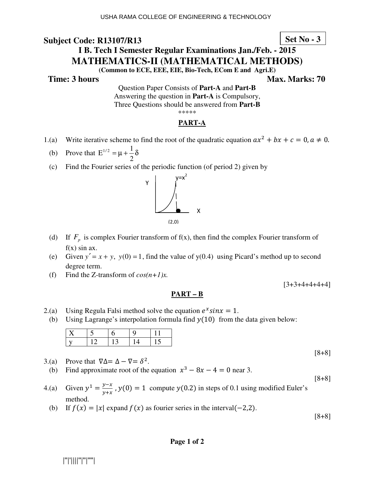## **Set No - 3**

# **I B. Tech I Semester Regular Examinations Jan./Feb. - 2015 MATHEMATICS-II (MATHEMATICAL METHODS)**

**(Common to ECE, EEE, EIE, Bio-Tech, ECom E and Agri.E)** 

**Time: 3 hours** Max. Marks: 70

Question Paper Consists of **Part-A** and **Part-B** Answering the question in **Part-A** is Compulsory, Three Questions should be answered from **Part-B** \*\*\*\*\*

## **PART-A**

- 1.(a) Write iterative scheme to find the root of the quadratic equation  $ax^2 + bx + c = 0, a \ne 0$ .
- (b) Prove that  $E^{1/2} = \mu + \frac{1}{2}\delta$ 2  $E^{1/2} = \mu + \frac{1}{2}$ 
	- (c) Find the Fourier series of the periodic function (of period 2) given by



- (d) If  $F_p$  is complex Fourier transform of  $f(x)$ , then find the complex Fourier transform of  $f(x)$  sin ax.
	- (e) Given  $y' = x + y$ ,  $y(0) = 1$ , find the value of  $y(0.4)$  using Picard's method up to second degree term.
	- (f) Find the Z-transform of  $cos(n+1)x$ .

 $[3+3+4+4+4+4]$ 

## **PART – B**

- 2.(a) Using Regula Falsi method solve the equation  $e^x sin x = 1$ .
- (b) Using Lagrange's interpolation formula find  $y(10)$  from the data given below:

[8+8]

[8+8]

- 3.(a) Prove that  $\nabla \Delta = \Delta \nabla = \delta^2$ .
- (b) Find approximate root of the equation  $x^3 8x 4 = 0$  near 3.
- 4.(a) Given  $y^1 = \frac{y x}{y + x}$  $y = \frac{y - \lambda}{y + x}$ ,  $y(0) = 1$  compute  $y(0.2)$  in steps of 0.1 using modified Euler's method.
	- (b) If  $f(x) = |x|$  expand  $f(x)$  as fourier series in the interval  $(-2,2)$ .

[8+8]

#### **Page 1 of 2**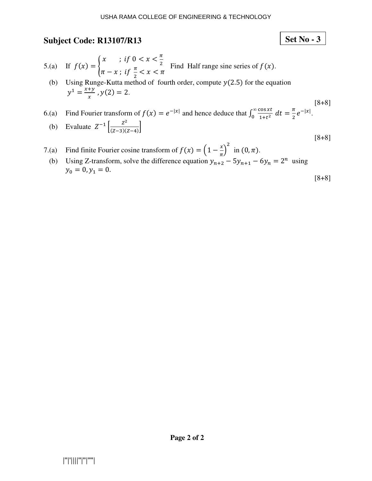Set No 
$$
-3
$$

- 5.(a) If  $f(x) = \begin{cases} x & \text{if } 0 < x < \frac{\pi}{2} \\ \pi & \text{if } x \neq \pi < x < \pi \end{cases}$  $\pi - x$ ; if  $\frac{\pi}{2} < x < \pi$ Find Half range sine series of  $f(x)$ .
	- (b) Using Runge-Kutta method of fourth order, compute  $y(2.5)$  for the equation  $y^1 = \frac{x+y}{x}$  $\frac{y}{x}$ ,  $y(2) = 2$ .
- [8+8] 6.(a) Find Fourier transform of  $f(x) = e^{-|x|}$  and hence deduce that  $\int_0^{\infty} \frac{\cos xt}{1+t^2}$  $1+t^2$  $\infty$  $\int_0^{\infty} \frac{\cos xt}{1+t^2} \, dt = \frac{\pi}{2} e^{-|x|}.$ (b) Evaluate  $Z^{-1} \left[ \frac{Z^2}{(Z-3)(Z-3)} \right]$  $\overline{(Z-3)(Z-4)}$
- 7.(a) Find finite Fourier cosine transform of  $f(x) = \left(1 \frac{x}{\pi}\right)^{x}$  $\int_{0}^{2}$  in  $(0, \pi)$ .
- (b) Using Z-transform, solve the difference equation  $y_{n+2} 5y_{n+1} 6y_n = 2^n$  using  $y_0 = 0, y_1 = 0.$ [8+8]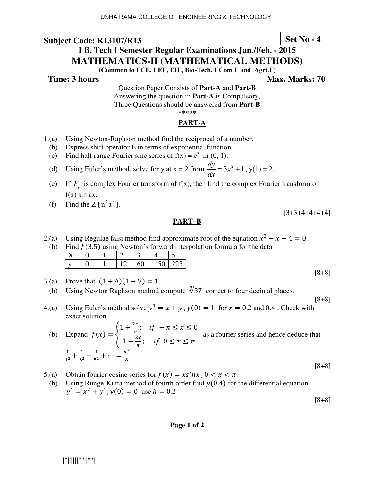# **I B. Tech I Semester Regular Examinations Jan./Feb. - 2015 MATHEMATICS-II (MATHEMATICAL METHODS)**

**(Common to ECE, EEE, EIE, Bio-Tech, ECom E and Agri.E)** 

**Time: 3 hours Max. Marks: 70 Max. Marks: 70** 

**Set No - 4**

 $[3+3+4+4+4+4]$ 

[8+8]

[8+8]

[8+8]

Question Paper Consists of **Part-A** and **Part-B** Answering the question in **Part-A** is Compulsory, Three Questions should be answered from **Part-B** \*\*\*\*\*

## **PART-A**

- 1.(a) Using Newton-Raphson method find the reciprocal of a number.
- (b) Express shift operator E in terms of exponential function.
- (c) Find half range Fourier sine series of  $f(x) = e^x$  in (0, 1).
- (d) Using Euler's method, solve for y at  $x = 2$  from  $\frac{dy}{dx} = 3x^2 + 1$ *dx*  $\frac{dy}{dx} = 3x^2 + 1$ ,  $y(1) = 2$ .
- (e) If  $F_p$  is complex Fourier transform of  $f(x)$ , then find the complex Fourier transform of  $f(x)$  sin ax.
- (f) Find the Z  $[n^2a^n]$ .

## **PART–B**

- 2.(a) Using Regulae falsi method find approximate root of the equation  $x^3 x 4 = 0$ .
- (b) Find  $f(3.5)$  using Newton's forward interpolation formula for the data:

|  |  | ◡ |  |  |
|--|--|---|--|--|

- 3.(a) Prove that  $(1 + \Delta)(1 \nabla) = 1$ .
- (b) Using Newton Raphson method compute  $\sqrt[3]{37}$  correct to four decimal places.
- 4.(a) Using Euler's method solve  $y^1 = x + y$ ,  $y(0) = 1$  for  $x = 0.2$  and 0.4, Check with exact solution.

(b) Expand 
$$
f(x) = \begin{cases} 1 + \frac{2x}{\pi}; & \text{if } -\pi \le x \le 0 \\ 1 - \frac{2x}{\pi}; & \text{if } 0 \le x \le \pi \end{cases}
$$
 as a fourier series and hence deduce that  $\frac{1}{1^2} + \frac{1}{3^2} + \frac{1}{5^2} + \dots = \frac{\pi^2}{8}.$ 

- 5.(a) Obtain fourier cosine series for  $f(x) = x \sin x$ ;  $0 < x < \pi$ .<br>
(b) Using Runge-Kutta method of fourth order find  $y(0.4)$  for
- Using Runge-Kutta method of fourth order find  $y(0.4)$  for the differential equation  $y^1 = x^2 + y^2$ ,  $y(0) = 0$  use  $h = 0.2$

**Page 1 of 2**